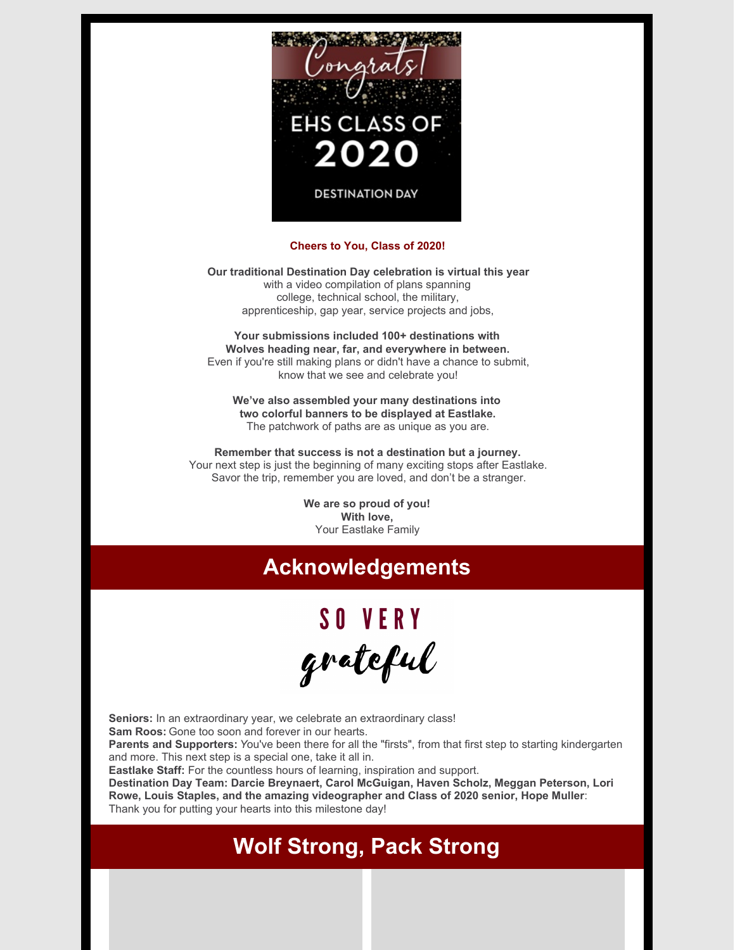

#### **Cheers to You, Class of 2020!**

**Our traditional Destination Day celebration is virtual this year** with a video compilation of plans spanning college, technical school, the military, apprenticeship, gap year, service projects and jobs,

**Your submissions included 100+ destinations with Wolves heading near, far, and everywhere in between.** Even if you're still making plans or didn't have a chance to submit, know that we see and celebrate you!

**We've also assembled your many destinations into two colorful banners to be displayed at Eastlake.** The patchwork of paths are as unique as you are.

**Remember that success is not a destination but a journey.** Your next step is just the beginning of many exciting stops after Eastlake. Savor the trip, remember you are loved, and don't be a stranger.

> **We are so proud of you! With love,** Your Eastlake Family

### **Acknowledgements**

# SO VERY grateful

**Seniors:** In an extraordinary year, we celebrate an extraordinary class! **Sam Roos:** Gone too soon and forever in our hearts.

**Parents and Supporters:** *Y*ou've been there for all the "firsts", from that first step to starting kindergarten and more. This next step is a special one, take it all in.

**Eastlake Staff:** For the countless hours of learning, inspiration and support.

**Destination Day Team: Darcie Breynaert, Carol McGuigan, Haven Scholz, Meggan Peterson, Lori Rowe, Louis Staples, and the amazing videographer and Class of 2020 senior, Hope Muller**: Thank you for putting your hearts into this milestone day!

### **Wolf Strong, Pack Strong**